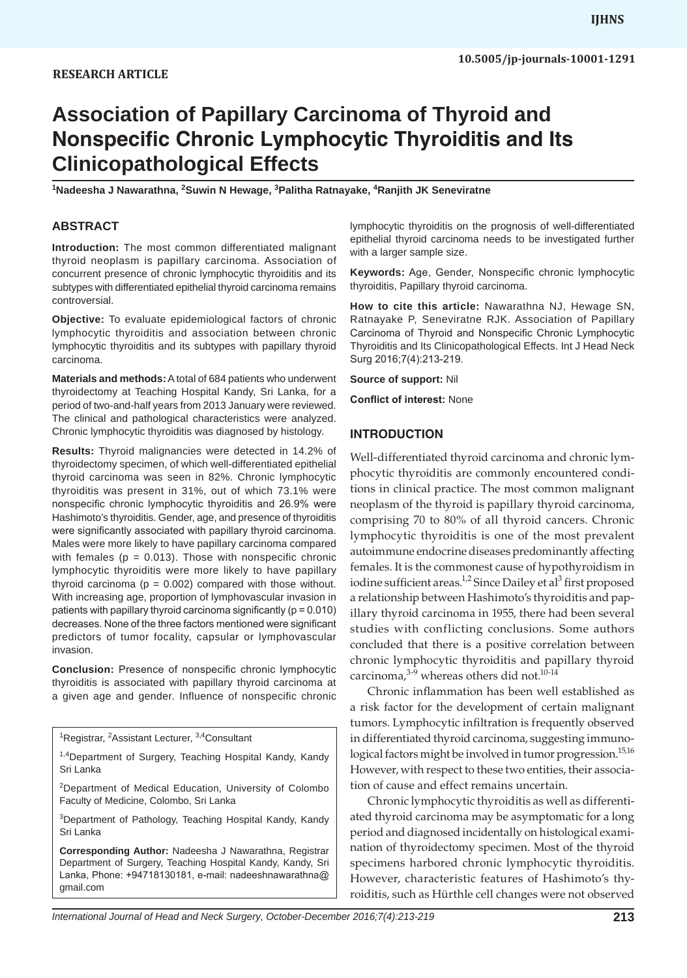# **Association of Papillary Carcinoma of Thyroid and Nonspecific Chronic Lymphocytic Thyroiditis and Its Clinicopathological Effects**

**1 Nadeesha J Nawarathna, <sup>2</sup> Suwin N Hewage, 3 Palitha Ratnayake, <sup>4</sup> Ranjith JK Seneviratne**

#### **ABSTRACT**

**Introduction:** The most common differentiated malignant thyroid neoplasm is papillary carcinoma. Association of concurrent presence of chronic lymphocytic thyroiditis and its subtypes with differentiated epithelial thyroid carcinoma remains controversial.

**Objective:** To evaluate epidemiological factors of chronic lymphocytic thyroiditis and association between chronic lymphocytic thyroiditis and its subtypes with papillary thyroid carcinoma.

**Materials and methods:** A total of 684 patients who underwent thyroidectomy at Teaching Hospital Kandy, Sri Lanka, for a period of two-and-half years from 2013 January were reviewed. The clinical and pathological characteristics were analyzed. Chronic lymphocytic thyroiditis was diagnosed by histology.

**Results:** Thyroid malignancies were detected in 14.2% of thyroidectomy specimen, of which well-differentiated epithelial thyroid carcinoma was seen in 82%. Chronic lymphocytic thyroiditis was present in 31%, out of which 73.1% were nonspecific chronic lymphocytic thyroiditis and 26.9% were Hashimoto's thyroiditis. Gender, age, and presence of thyroiditis were significantly associated with papillary thyroid carcinoma. Males were more likely to have papillary carcinoma compared with females ( $p = 0.013$ ). Those with nonspecific chronic lymphocytic thyroiditis were more likely to have papillary thyroid carcinoma ( $p = 0.002$ ) compared with those without. With increasing age, proportion of lymphovascular invasion in patients with papillary thyroid carcinoma significantly ( $p = 0.010$ ) decreases. None of the three factors mentioned were significant predictors of tumor focality, capsular or lymphovascular invasion.

**Conclusion:** Presence of nonspecific chronic lymphocytic thyroiditis is associated with papillary thyroid carcinoma at a given age and gender. Influence of nonspecific chronic

<sup>1</sup>Registrar, <sup>2</sup>Assistant Lecturer, <sup>3,4</sup>Consultant

2Department of Medical Education, University of Colombo Faculty of Medicine, Colombo, Sri Lanka

<sup>3</sup>Department of Pathology, Teaching Hospital Kandy, Kandy Sri Lanka

**Corresponding Author:** Nadeesha J Nawarathna, Registrar Department of Surgery, Teaching Hospital Kandy, Kandy, Sri Lanka, Phone: +94718130181, e-mail: nadeeshnawarathna@ gmail.com

lymphocytic thyroiditis on the prognosis of well-differentiated epithelial thyroid carcinoma needs to be investigated further with a larger sample size.

**Keywords:** Age, Gender, Nonspecific chronic lymphocytic thyroiditis, Papillary thyroid carcinoma.

**How to cite this article:** Nawarathna NJ, Hewage SN, Ratnayake P, Seneviratne RJK. Association of Papillary Carcinoma of Thyroid and Nonspecific Chronic Lymphocytic Thyroiditis and Its Clinicopathological Effects. Int J Head Neck Surg 2016;7(4):213-219.

**Source of support:** Nil

**Conflict of interest:** None

#### **INTRODUCTION**

Well-differentiated thyroid carcinoma and chronic lymphocytic thyroiditis are commonly encountered conditions in clinical practice. The most common malignant neoplasm of the thyroid is papillary thyroid carcinoma, comprising 70 to 80% of all thyroid cancers. Chronic lymphocytic thyroiditis is one of the most prevalent autoimmune endocrine diseases predominantly affecting females. It is the commonest cause of hypothyroidism in iodine sufficient areas.<sup>1,2</sup> Since Dailey et al<sup>3</sup> first proposed a relationship between Hashimoto's thyroiditis and papillary thyroid carcinoma in 1955, there had been several studies with conflicting conclusions. Some authors concluded that there is a positive correlation between chronic lymphocytic thyroiditis and papillary thyroid carcinoma.<sup>3-9</sup> whereas others did not.<sup>10-14</sup>

Chronic inflammation has been well established as a risk factor for the development of certain malignant tumors. Lymphocytic infiltration is frequently observed in differentiated thyroid carcinoma, suggesting immunological factors might be involved in tumor progression.<sup>15,16</sup> However, with respect to these two entities, their association of cause and effect remains uncertain.

Chronic lymphocytic thyroiditis as well as differentiated thyroid carcinoma may be asymptomatic for a long period and diagnosed incidentally on histological examination of thyroidectomy specimen. Most of the thyroid specimens harbored chronic lymphocytic thyroiditis. However, characteristic features of Hashimoto's thyroiditis, such as Hürthle cell changes were not observed

<sup>&</sup>lt;sup>1,4</sup>Department of Surgery, Teaching Hospital Kandy, Kandy Sri Lanka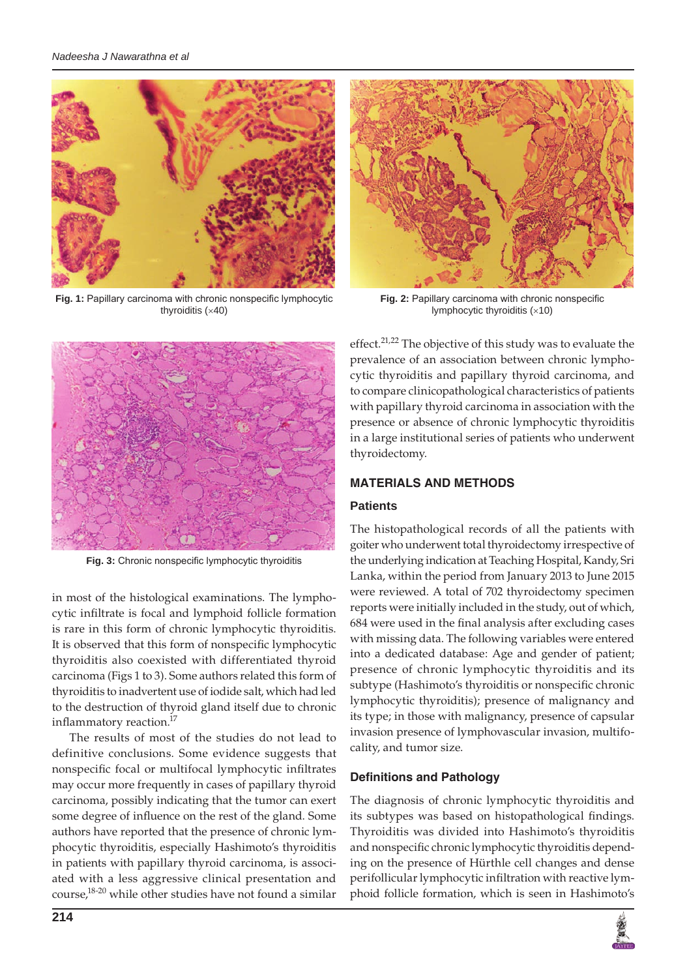

**Fig. 1:** Papillary carcinoma with chronic nonspecific lymphocytic thyroiditis (×40)



**Fig. 2:** Papillary carcinoma with chronic nonspecific lymphocytic thyroiditis (×10)



**Fig. 3:** Chronic nonspecific lymphocytic thyroiditis

in most of the histological examinations. The lymphocytic infiltrate is focal and lymphoid follicle formation is rare in this form of chronic lymphocytic thyroiditis. It is observed that this form of nonspecific lymphocytic thyroiditis also coexisted with differentiated thyroid carcinoma (Figs 1 to 3). Some authors related this form of thyroiditis to inadvertent use of iodide salt, which had led to the destruction of thyroid gland itself due to chronic inflammatory reaction.17

The results of most of the studies do not lead to definitive conclusions. Some evidence suggests that nonspecific focal or multifocal lymphocytic infiltrates may occur more frequently in cases of papillary thyroid carcinoma, possibly indicating that the tumor can exert some degree of influence on the rest of the gland. Some authors have reported that the presence of chronic lymphocytic thyroiditis, especially Hashimoto's thyroiditis in patients with papillary thyroid carcinoma, is associated with a less aggressive clinical presentation and course,18-20 while other studies have not found a similar effect.<sup>21,22</sup> The objective of this study was to evaluate the prevalence of an association between chronic lymphocytic thyroiditis and papillary thyroid carcinoma, and to compare clinicopathological characteristics of patients with papillary thyroid carcinoma in association with the presence or absence of chronic lymphocytic thyroiditis in a large institutional series of patients who underwent thyroidectomy.

# **materials and METHODS**

# **Patients**

The histopathological records of all the patients with goiter who underwent total thyroidectomy irrespective of the underlying indication at Teaching Hospital, Kandy, Sri Lanka, within the period from January 2013 to June 2015 were reviewed. A total of 702 thyroidectomy specimen reports were initially included in the study, out of which, 684 were used in the final analysis after excluding cases with missing data. The following variables were entered into a dedicated database: Age and gender of patient; presence of chronic lymphocytic thyroiditis and its subtype (Hashimoto's thyroiditis or nonspecific chronic lymphocytic thyroiditis); presence of malignancy and its type; in those with malignancy, presence of capsular invasion presence of lymphovascular invasion, multifocality, and tumor size.

# **Definitions and Pathology**

The diagnosis of chronic lymphocytic thyroiditis and its subtypes was based on histopathological findings. Thyroiditis was divided into Hashimoto's thyroiditis and nonspecific chronic lymphocytic thyroiditis depending on the presence of Hürthle cell changes and dense perifollicular lymphocytic infiltration with reactive lymphoid follicle formation, which is seen in Hashimoto's

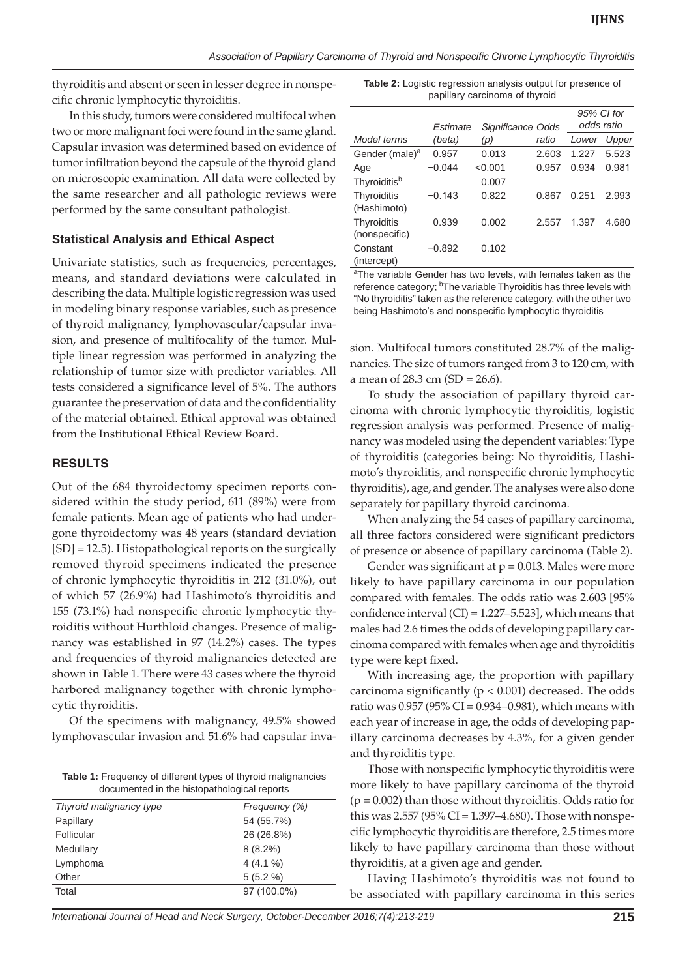*Association of Papillary Carcinoma of Thyroid and Nonspecific Chronic Lymphocytic Thyroiditis*

thyroiditis and absent or seen in lesser degree in nonspecific chronic lymphocytic thyroiditis.

In this study, tumors were considered multifocal when two or more malignant foci were found in the same gland. Capsular invasion was determined based on evidence of tumor infiltration beyond the capsule of the thyroid gland on microscopic examination. All data were collected by the same researcher and all pathologic reviews were performed by the same consultant pathologist.

#### **Statistical Analysis and Ethical Aspect**

Univariate statistics, such as frequencies, percentages, means, and standard deviations were calculated in describing the data. Multiple logistic regression was used in modeling binary response variables, such as presence of thyroid malignancy, lymphovascular/capsular invasion, and presence of multifocality of the tumor. Multiple linear regression was performed in analyzing the relationship of tumor size with predictor variables. All tests considered a significance level of 5%. The authors guarantee the preservation of data and the confidentiality of the material obtained. Ethical approval was obtained from the Institutional Ethical Review Board.

#### **RESULTS**

Out of the 684 thyroidectomy specimen reports considered within the study period, 611 (89%) were from female patients. Mean age of patients who had undergone thyroidectomy was 48 years (standard deviation [SD] = 12.5). Histopathological reports on the surgically removed thyroid specimens indicated the presence of chronic lymphocytic thyroiditis in 212 (31.0%), out of which 57 (26.9%) had Hashimoto's thyroiditis and 155 (73.1%) had nonspecific chronic lymphocytic thyroiditis without Hurthloid changes. Presence of malignancy was established in 97 (14.2%) cases. The types and frequencies of thyroid malignancies detected are shown in Table 1. There were 43 cases where the thyroid harbored malignancy together with chronic lymphocytic thyroiditis.

Of the specimens with malignancy, 49.5% showed lymphovascular invasion and 51.6% had capsular inva-

**Table 1:** Frequency of different types of thyroid malignancies documented in the histopathological reports

| about notified in the motopathological reports |               |  |  |
|------------------------------------------------|---------------|--|--|
| Thyroid malignancy type                        | Frequency (%) |  |  |
| Papillary                                      | 54 (55.7%)    |  |  |
| Follicular                                     | 26 (26.8%)    |  |  |
| Medullary                                      | $8(8.2\%)$    |  |  |
| Lymphoma                                       | $4(4.1\%)$    |  |  |
| Other                                          | 5(5.2%        |  |  |
| Total                                          | 97 (100.0%)   |  |  |

**Table 2:** Logistic regression analysis output for presence of papillary carcinoma of thyroid

|                              | Estimate | Significance Odds |       | odds ratio | 95% CI for |
|------------------------------|----------|-------------------|-------|------------|------------|
| Model terms                  | (beta)   | (p)               | ratio | Lower      | Upper      |
| Gender (male) <sup>a</sup>   | 0.957    | 0.013             | 2.603 | 1.227      | 5.523      |
| Age                          | $-0.044$ | < 0.001           | 0.957 | 0.934      | 0.981      |
| Thyroiditis <sup>b</sup>     |          | 0.007             |       |            |            |
| Thyroiditis<br>(Hashimoto)   | $-0.143$ | 0.822             | 0.867 | 0.251      | 2.993      |
| Thyroiditis<br>(nonspecific) | 0.939    | 0.002             | 2.557 | 1.397      | 4.680      |
| Constant<br>(intercept)      | $-0.892$ | 0.102             |       |            |            |

<sup>a</sup>The variable Gender has two levels, with females taken as the reference category; <sup>b</sup>The variable Thyroiditis has three levels with "No thyroiditis" taken as the reference category, with the other two being Hashimoto's and nonspecific lymphocytic thyroiditis

sion. Multifocal tumors constituted 28.7% of the malignancies. The size of tumors ranged from 3 to 120 cm, with a mean of 28.3 cm (SD = 26.6).

To study the association of papillary thyroid carcinoma with chronic lymphocytic thyroiditis, logistic regression analysis was performed. Presence of malignancy was modeled using the dependent variables: Type of thyroiditis (categories being: No thyroiditis, Hashimoto's thyroiditis, and nonspecific chronic lymphocytic thyroiditis), age, and gender. The analyses were also done separately for papillary thyroid carcinoma.

When analyzing the 54 cases of papillary carcinoma, all three factors considered were significant predictors of presence or absence of papillary carcinoma (Table 2).

Gender was significant at  $p = 0.013$ . Males were more likely to have papillary carcinoma in our population compared with females. The odds ratio was 2.603 [95% confidence interval (CI) = 1.227–5.523], which means that males had 2.6 times the odds of developing papillary carcinoma compared with females when age and thyroiditis type were kept fixed.

With increasing age, the proportion with papillary carcinoma significantly ( $p < 0.001$ ) decreased. The odds ratio was  $0.957$  (95% CI = 0.934–0.981), which means with each year of increase in age, the odds of developing papillary carcinoma decreases by 4.3%, for a given gender and thyroiditis type.

Those with nonspecific lymphocytic thyroiditis were more likely to have papillary carcinoma of the thyroid  $(p = 0.002)$  than those without thyroiditis. Odds ratio for this was 2.557 (95% CI = 1.397-4.680). Those with nonspecific lymphocytic thyroiditis are therefore, 2.5 times more likely to have papillary carcinoma than those without thyroiditis, at a given age and gender.

Having Hashimoto's thyroiditis was not found to be associated with papillary carcinoma in this series

*International Journal of Head and Neck Surgery, October-December 2016;7(4):213-219* **215**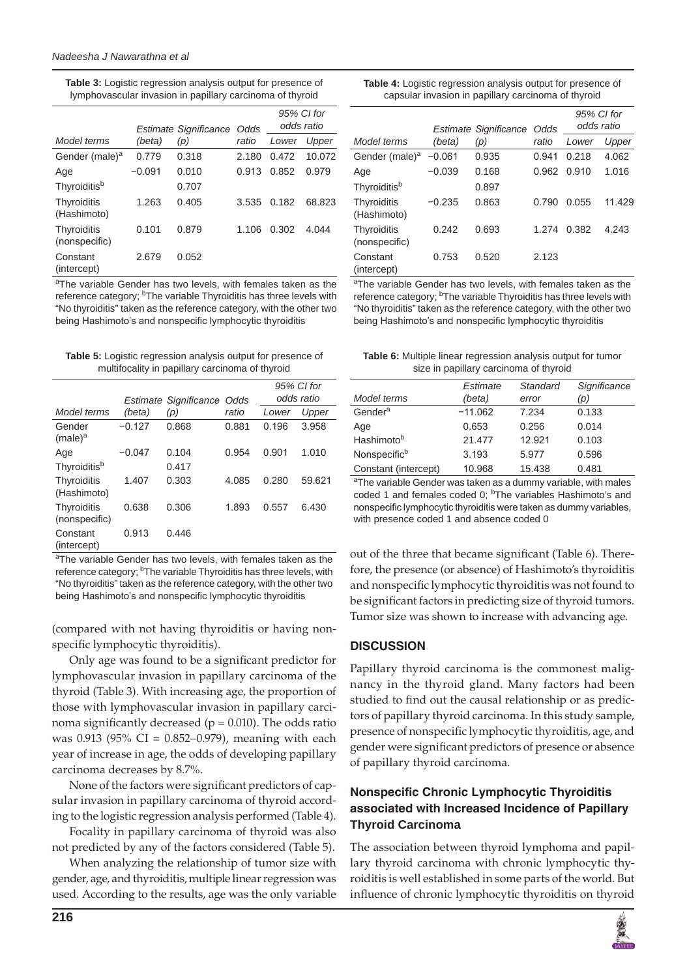| <b>Table 3:</b> Logistic regression analysis output for presence of |  |
|---------------------------------------------------------------------|--|
| lymphovascular invasion in papillary carcinoma of thyroid           |  |

|                              |          | <b>Estimate Significance</b> | Odds  | odds ratio | 95% CI for |
|------------------------------|----------|------------------------------|-------|------------|------------|
| Model terms                  | (beta)   | (p)                          | ratio | Lower      | Upper      |
| Gender (male) <sup>a</sup>   | 0.779    | 0.318                        | 2.180 | 0.472      | 10.072     |
| Age                          | $-0.091$ | 0.010                        | 0.913 | 0.852      | 0.979      |
| Thyroiditisb                 |          | 0.707                        |       |            |            |
| Thyroiditis<br>(Hashimoto)   | 1.263    | 0.405                        | 3.535 | 0.182      | 68.823     |
| Thyroiditis<br>(nonspecific) | 0.101    | 0.879                        | 1.106 | 0.302      | 4.044      |
| Constant<br>(intercept)      | 2.679    | 0.052                        |       |            |            |

<sup>a</sup>The variable Gender has two levels, with females taken as the reference category; <sup>b</sup>The variable Thyroiditis has three levels with "No thyroiditis" taken as the reference category, with the other two being Hashimoto's and nonspecific lymphocytic thyroiditis

**Table 5:** Logistic regression analysis output for presence of multifocality in papillary carcinoma of thyroid

|                                   |          | Estimate Significance<br>Odds |       | 95% CI for<br>odds ratio |        |
|-----------------------------------|----------|-------------------------------|-------|--------------------------|--------|
| Model terms                       | (beta)   | (p)                           | ratio | Lower                    | Upper  |
| Gender<br>$(male)^a$              | $-0.127$ | 0.868                         | 0.881 | 0.196                    | 3.958  |
| Age                               | $-0.047$ | 0.104                         | 0.954 | 0.901                    | 1.010  |
| Thyroiditis <sup>b</sup>          |          | 0.417                         |       |                          |        |
| <b>Thyroiditis</b><br>(Hashimoto) | 1.407    | 0.303                         | 4.085 | 0.280                    | 59.621 |
| Thyroiditis<br>(nonspecific)      | 0.638    | 0.306                         | 1.893 | 0.557                    | 6.430  |
| Constant<br>(intercept)           | 0.913    | 0.446                         |       |                          |        |

<sup>a</sup>The variable Gender has two levels, with females taken as the reference category; <sup>b</sup>The variable Thyroiditis has three levels, with "No thyroiditis" taken as the reference category, with the other two being Hashimoto's and nonspecific lymphocytic thyroiditis

(compared with not having thyroiditis or having nonspecific lymphocytic thyroiditis).

Only age was found to be a significant predictor for lymphovascular invasion in papillary carcinoma of the thyroid (Table 3). With increasing age, the proportion of those with lymphovascular invasion in papillary carcinoma significantly decreased ( $p = 0.010$ ). The odds ratio was 0.913 (95% CI = 0.852–0.979), meaning with each year of increase in age, the odds of developing papillary carcinoma decreases by 8.7%.

None of the factors were significant predictors of capsular invasion in papillary carcinoma of thyroid according to the logistic regression analysis performed (Table 4).

Focality in papillary carcinoma of thyroid was also not predicted by any of the factors considered (Table 5).

When analyzing the relationship of tumor size with gender, age, and thyroiditis, multiple linear regression was used. According to the results, age was the only variable

| <b>Table 4:</b> Logistic regression analysis output for presence of |  |
|---------------------------------------------------------------------|--|
| capsular invasion in papillary carcinoma of thyroid                 |  |

|                              |          | Estimate Significance | Odds  | 95% CI for<br>odds ratio |        |
|------------------------------|----------|-----------------------|-------|--------------------------|--------|
| Model terms                  | (beta)   | (p)                   | ratio | Lower                    | Upper  |
| Gender (male) <sup>a</sup>   | $-0.061$ | 0.935                 | 0.941 | 0.218                    | 4.062  |
| Age                          | $-0.039$ | 0.168                 | 0.962 | 0.910                    | 1.016  |
| Thyroiditis <sup>b</sup>     |          | 0.897                 |       |                          |        |
| Thyroiditis<br>(Hashimoto)   | $-0.235$ | 0.863                 | 0.790 | 0.055                    | 11.429 |
| Thyroiditis<br>(nonspecific) | 0.242    | 0.693                 | 1.274 | 0.382                    | 4.243  |
| Constant<br>(intercept)      | 0.753    | 0.520                 | 2.123 |                          |        |

<sup>a</sup>The variable Gender has two levels, with females taken as the reference category; <sup>b</sup>The variable Thyroiditis has three levels with "No thyroiditis" taken as the reference category, with the other two being Hashimoto's and nonspecific lymphocytic thyroiditis

**Table 6:** Multiple linear regression analysis output for tumor size in papillary carcinoma of thyroid

|                      | Estimate  | Standard | Significance |
|----------------------|-----------|----------|--------------|
| Model terms          | (beta)    | error    | (p)          |
| Gender <sup>a</sup>  | $-11.062$ | 7.234    | 0.133        |
| Age                  | 0.653     | 0.256    | 0.014        |
| Hashimotob           | 21.477    | 12.921   | 0.103        |
| Nonspecificb         | 3.193     | 5.977    | 0.596        |
| Constant (intercept) | 10.968    | 15.438   | 0.481        |

<sup>a</sup>The variable Gender was taken as a dummy variable, with males coded 1 and females coded 0; <sup>b</sup>The variables Hashimoto's and nonspecific lymphocytic thyroiditis were taken as dummy variables, with presence coded 1 and absence coded 0

out of the three that became significant (Table 6). Therefore, the presence (or absence) of Hashimoto's thyroiditis and nonspecific lymphocytic thyroiditis was not found to be significant factors in predicting size of thyroid tumors. Tumor size was shown to increase with advancing age.

## **DISCUSSION**

Papillary thyroid carcinoma is the commonest malignancy in the thyroid gland. Many factors had been studied to find out the causal relationship or as predictors of papillary thyroid carcinoma. In this study sample, presence of nonspecific lymphocytic thyroiditis, age, and gender were significant predictors of presence or absence of papillary thyroid carcinoma.

## **Nonspecific Chronic Lymphocytic Thyroiditis associated with Increased Incidence of Papillary Thyroid Carcinoma**

The association between thyroid lymphoma and papillary thyroid carcinoma with chronic lymphocytic thyroiditis is well established in some parts of the world. But influence of chronic lymphocytic thyroiditis on thyroid

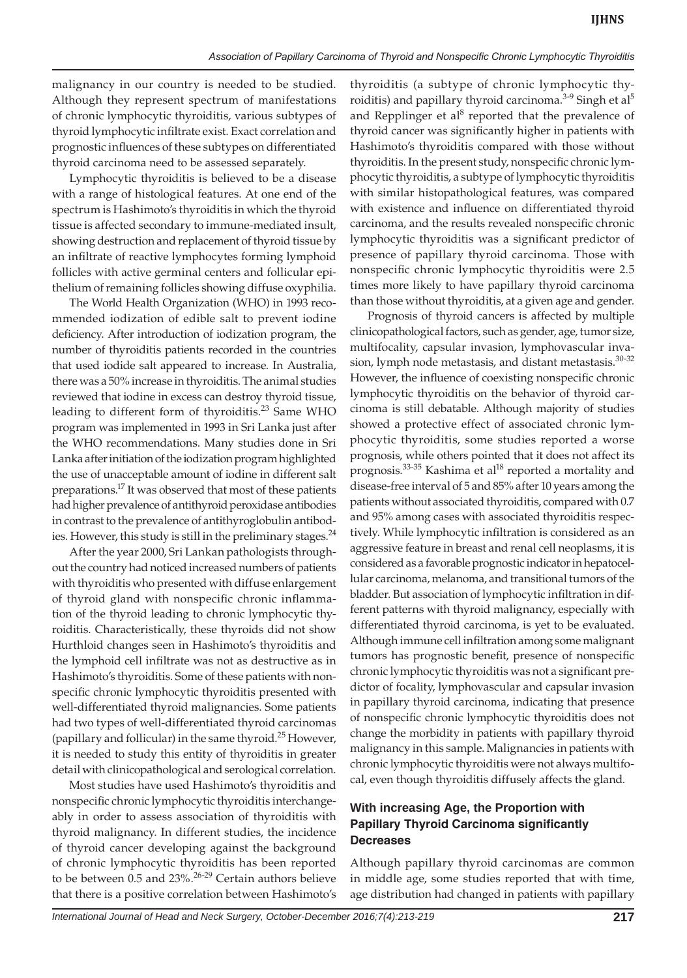malignancy in our country is needed to be studied. Although they represent spectrum of manifestations of chronic lymphocytic thyroiditis, various subtypes of thyroid lymphocytic infiltrate exist. Exact correlation and prognostic influences of these subtypes on differentiated thyroid carcinoma need to be assessed separately.

Lymphocytic thyroiditis is believed to be a disease with a range of histological features. At one end of the spectrum is Hashimoto's thyroiditis in which the thyroid tissue is affected secondary to immune-mediated insult, showing destruction and replacement of thyroid tissue by an infiltrate of reactive lymphocytes forming lymphoid follicles with active germinal centers and follicular epithelium of remaining follicles showing diffuse oxyphilia.

The World Health Organization (WHO) in 1993 recommended iodization of edible salt to prevent iodine deficiency. After introduction of iodization program, the number of thyroiditis patients recorded in the countries that used iodide salt appeared to increase. In Australia, there was a 50% increase in thyroiditis. The animal studies reviewed that iodine in excess can destroy thyroid tissue, leading to different form of thyroiditis.<sup>23</sup> Same WHO program was implemented in 1993 in Sri Lanka just after the WHO recommendations. Many studies done in Sri Lanka after initiation of the iodization program highlighted the use of unacceptable amount of iodine in different salt preparations.17 It was observed that most of these patients had higher prevalence of antithyroid peroxidase antibodies in contrast to the prevalence of antithyroglobulin antibodies. However, this study is still in the preliminary stages. $^{24}$ 

After the year 2000, Sri Lankan pathologists throughout the country had noticed increased numbers of patients with thyroiditis who presented with diffuse enlargement of thyroid gland with nonspecific chronic inflammation of the thyroid leading to chronic lymphocytic thyroiditis. Characteristically, these thyroids did not show Hurthloid changes seen in Hashimoto's thyroiditis and the lymphoid cell infiltrate was not as destructive as in Hashimoto's thyroiditis. Some of these patients with nonspecific chronic lymphocytic thyroiditis presented with well-differentiated thyroid malignancies. Some patients had two types of well-differentiated thyroid carcinomas (papillary and follicular) in the same thyroid.<sup>25</sup> However, it is needed to study this entity of thyroiditis in greater detail with clinicopathological and serological correlation.

Most studies have used Hashimoto's thyroiditis and nonspecific chronic lymphocytic thyroiditis interchangeably in order to assess association of thyroiditis with thyroid malignancy. In different studies, the incidence of thyroid cancer developing against the background of chronic lymphocytic thyroiditis has been reported to be between 0.5 and  $23\%$ .<sup>26-29</sup> Certain authors believe that there is a positive correlation between Hashimoto's

thyroiditis (a subtype of chronic lymphocytic thyroiditis) and papillary thyroid carcinoma. $^{3-9}$  Singh et al $^5$ and Repplinger et al<sup>8</sup> reported that the prevalence of thyroid cancer was significantly higher in patients with Hashimoto's thyroiditis compared with those without thyroiditis. In the present study, nonspecific chronic lymphocytic thyroiditis, a subtype of lymphocytic thyroiditis with similar histopathological features, was compared with existence and influence on differentiated thyroid carcinoma, and the results revealed nonspecific chronic lymphocytic thyroiditis was a significant predictor of presence of papillary thyroid carcinoma. Those with nonspecific chronic lymphocytic thyroiditis were 2.5 times more likely to have papillary thyroid carcinoma than those without thyroiditis, at a given age and gender.

Prognosis of thyroid cancers is affected by multiple clinicopathological factors, such as gender, age, tumor size, multifocality, capsular invasion, lymphovascular invasion, lymph node metastasis, and distant metastasis.<sup>30-32</sup> However, the influence of coexisting nonspecific chronic lymphocytic thyroiditis on the behavior of thyroid carcinoma is still debatable. Although majority of studies showed a protective effect of associated chronic lymphocytic thyroiditis, some studies reported a worse prognosis, while others pointed that it does not affect its prognosis.<sup>33-35</sup> Kashima et al<sup>18</sup> reported a mortality and disease-free interval of 5 and 85% after 10 years among the patients without associated thyroiditis, compared with 0.7 and 95% among cases with associated thyroiditis respectively. While lymphocytic infiltration is considered as an aggressive feature in breast and renal cell neoplasms, it is considered as a favorable prognostic indicator in hepatocellular carcinoma, melanoma, and transitional tumors of the bladder. But association of lymphocytic infiltration in different patterns with thyroid malignancy, especially with differentiated thyroid carcinoma, is yet to be evaluated. Although immune cell infiltration among some malignant tumors has prognostic benefit, presence of nonspecific chronic lymphocytic thyroiditis was not a significant predictor of focality, lymphovascular and capsular invasion in papillary thyroid carcinoma, indicating that presence of nonspecific chronic lymphocytic thyroiditis does not change the morbidity in patients with papillary thyroid malignancy in this sample. Malignancies in patients with chronic lymphocytic thyroiditis were not always multifocal, even though thyroiditis diffusely affects the gland.

## **With increasing Age, the Proportion with Papillary Thyroid Carcinoma significantly Decreases**

Although papillary thyroid carcinomas are common in middle age, some studies reported that with time, age distribution had changed in patients with papillary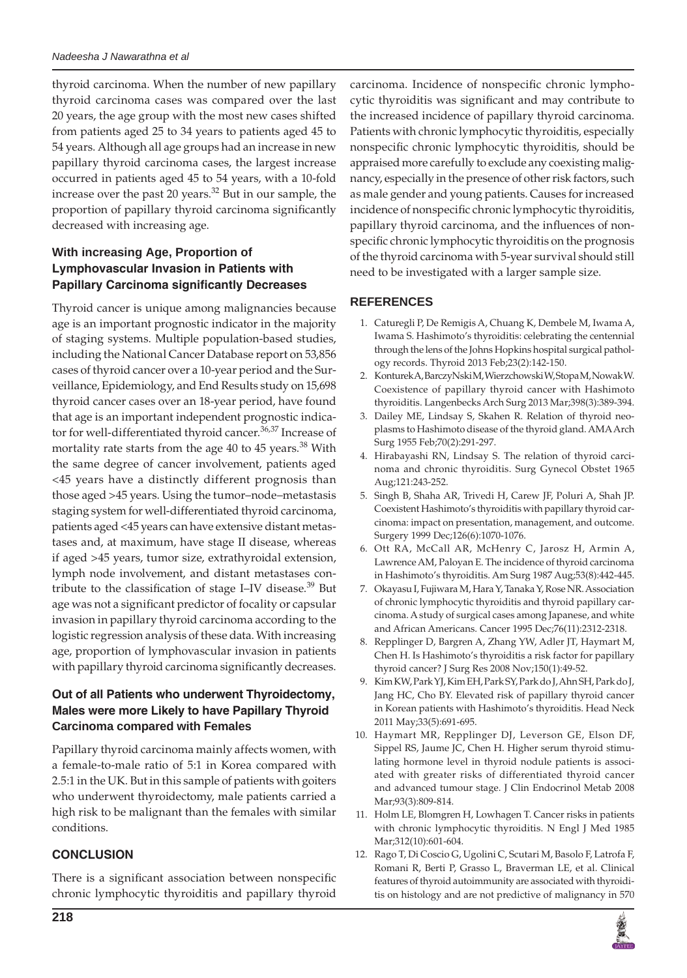thyroid carcinoma. When the number of new papillary thyroid carcinoma cases was compared over the last 20 years, the age group with the most new cases shifted from patients aged 25 to 34 years to patients aged 45 to 54 years. Although all age groups had an increase in new papillary thyroid carcinoma cases, the largest increase occurred in patients aged 45 to 54 years, with a 10-fold increase over the past 20 years.<sup>32</sup> But in our sample, the proportion of papillary thyroid carcinoma significantly decreased with increasing age.

# **With increasing Age, Proportion of Lymphovascular Invasion in Patients with Papillary Carcinoma significantly Decreases**

Thyroid cancer is unique among malignancies because age is an important prognostic indicator in the majority of staging systems. Multiple population-based studies, including the National Cancer Database report on 53,856 cases of thyroid cancer over a 10-year period and the Surveillance, Epidemiology, and End Results study on 15,698 thyroid cancer cases over an 18-year period, have found that age is an important independent prognostic indicator for well-differentiated thyroid cancer.  $36,37$  Increase of mortality rate starts from the age 40 to 45 years.<sup>38</sup> With the same degree of cancer involvement, patients aged <45 years have a distinctly different prognosis than those aged >45 years. Using the tumor–node–metastasis staging system for well-differentiated thyroid carcinoma, patients aged <45 years can have extensive distant metastases and, at maximum, have stage II disease, whereas if aged >45 years, tumor size, extrathyroidal extension, lymph node involvement, and distant metastases contribute to the classification of stage I–IV disease.<sup>39</sup> But age was not a significant predictor of focality or capsular invasion in papillary thyroid carcinoma according to the logistic regression analysis of these data. With increasing age, proportion of lymphovascular invasion in patients with papillary thyroid carcinoma significantly decreases.

# **Out of all Patients who underwent Thyroidectomy, Males were more Likely to have Papillary Thyroid Carcinoma compared with Females**

Papillary thyroid carcinoma mainly affects women, with a female-to-male ratio of 5:1 in Korea compared with 2.5:1 in the UK. But in this sample of patients with goiters who underwent thyroidectomy, male patients carried a high risk to be malignant than the females with similar conditions.

# **CONCLUSION**

There is a significant association between nonspecific chronic lymphocytic thyroiditis and papillary thyroid

carcinoma. Incidence of nonspecific chronic lymphocytic thyroiditis was significant and may contribute to the increased incidence of papillary thyroid carcinoma. Patients with chronic lymphocytic thyroiditis, especially nonspecific chronic lymphocytic thyroiditis, should be appraised more carefully to exclude any coexisting malignancy, especially in the presence of other risk factors, such as male gender and young patients. Causes for increased incidence of nonspecific chronic lymphocytic thyroiditis, papillary thyroid carcinoma, and the influences of nonspecific chronic lymphocytic thyroiditis on the prognosis of the thyroid carcinoma with 5-year survival should still need to be investigated with a larger sample size.

# **REFERENCES**

- 1. Caturegli P, De Remigis A, Chuang K, Dembele M, Iwama A, Iwama S. Hashimoto's thyroiditis: celebrating the centennial through the lens of the Johns Hopkins hospital surgical pathology records. Thyroid 2013 Feb;23(2):142-150.
- 2. Konturek A, BarczyNski M, Wierzchowski W, Stopa M, Nowak W. Coexistence of papillary thyroid cancer with Hashimoto thyroiditis. Langenbecks Arch Surg 2013 Mar;398(3):389-394.
- 3. Dailey ME, Lindsay S, Skahen R. Relation of thyroid neoplasms to Hashimoto disease of the thyroid gland. AMA Arch Surg 1955 Feb;70(2):291-297.
- 4. Hirabayashi RN, Lindsay S. The relation of thyroid carcinoma and chronic thyroiditis. Surg Gynecol Obstet 1965 Aug;121:243-252.
- 5. Singh B, Shaha AR, Trivedi H, Carew JF, Poluri A, Shah JP. Coexistent Hashimoto's thyroiditis with papillary thyroid carcinoma: impact on presentation, management, and outcome. Surgery 1999 Dec;126(6):1070-1076.
- 6. Ott RA, McCall AR, McHenry C, Jarosz H, Armin A, Lawrence AM, Paloyan E. The incidence of thyroid carcinoma in Hashimoto's thyroiditis. Am Surg 1987 Aug;53(8):442-445.
- 7. Okayasu I, Fujiwara M, Hara Y, Tanaka Y, Rose NR. Association of chronic lymphocytic thyroiditis and thyroid papillary carcinoma. A study of surgical cases among Japanese, and white and African Americans. Cancer 1995 Dec;76(11):2312-2318.
- 8. Repplinger D, Bargren A, Zhang YW, Adler JT, Haymart M, Chen H. Is Hashimoto's thyroiditis a risk factor for papillary thyroid cancer? J Surg Res 2008 Nov;150(1):49-52.
- 9. Kim KW, Park YJ, Kim EH, Park SY, Park do J, Ahn SH, Park do J, Jang HC, Cho BY. Elevated risk of papillary thyroid cancer in Korean patients with Hashimoto's thyroiditis. Head Neck 2011 May;33(5):691-695.
- 10. Haymart MR, Repplinger DJ, Leverson GE, Elson DF, Sippel RS, Jaume JC, Chen H. Higher serum thyroid stimulating hormone level in thyroid nodule patients is associated with greater risks of differentiated thyroid cancer and advanced tumour stage. J Clin Endocrinol Metab 2008 Mar;93(3):809-814.
- 11. Holm LE, Blomgren H, Lowhagen T. Cancer risks in patients with chronic lymphocytic thyroiditis. N Engl J Med 1985 Mar;312(10):601-604.
- 12. Rago T, Di Coscio G, Ugolini C, Scutari M, Basolo F, Latrofa F, Romani R, Berti P, Grasso L, Braverman LE, et al. Clinical features of thyroid autoimmunity are associated with thyroiditis on histology and are not predictive of malignancy in 570